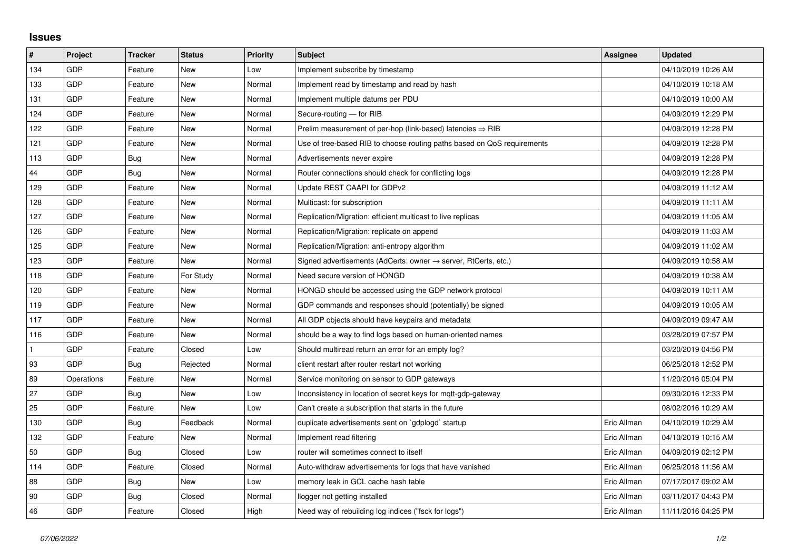## **Issues**

| #   | Project    | <b>Tracker</b> | <b>Status</b> | <b>Priority</b> | <b>Subject</b>                                                             | Assignee    | <b>Updated</b>      |
|-----|------------|----------------|---------------|-----------------|----------------------------------------------------------------------------|-------------|---------------------|
| 134 | GDP        | Feature        | <b>New</b>    | Low             | Implement subscribe by timestamp                                           |             | 04/10/2019 10:26 AM |
| 133 | GDP        | Feature        | New           | Normal          | Implement read by timestamp and read by hash                               |             | 04/10/2019 10:18 AM |
| 131 | GDP        | Feature        | New           | Normal          | Implement multiple datums per PDU                                          |             | 04/10/2019 10:00 AM |
| 124 | GDP        | Feature        | <b>New</b>    | Normal          | Secure-routing - for RIB                                                   |             | 04/09/2019 12:29 PM |
| 122 | GDP        | Feature        | <b>New</b>    | Normal          | Prelim measurement of per-hop (link-based) latencies $\Rightarrow$ RIB     |             | 04/09/2019 12:28 PM |
| 121 | <b>GDP</b> | Feature        | New           | Normal          | Use of tree-based RIB to choose routing paths based on QoS requirements    |             | 04/09/2019 12:28 PM |
| 113 | GDP        | Bug            | <b>New</b>    | Normal          | Advertisements never expire                                                |             | 04/09/2019 12:28 PM |
| 44  | GDP        | Bug            | New           | Normal          | Router connections should check for conflicting logs                       |             | 04/09/2019 12:28 PM |
| 129 | GDP        | Feature        | New           | Normal          | Update REST CAAPI for GDPv2                                                |             | 04/09/2019 11:12 AM |
| 128 | GDP        | Feature        | <b>New</b>    | Normal          | Multicast: for subscription                                                |             | 04/09/2019 11:11 AM |
| 127 | GDP        | Feature        | New           | Normal          | Replication/Migration: efficient multicast to live replicas                |             | 04/09/2019 11:05 AM |
| 126 | GDP        | Feature        | New           | Normal          | Replication/Migration: replicate on append                                 |             | 04/09/2019 11:03 AM |
| 125 | GDP        | Feature        | <b>New</b>    | Normal          | Replication/Migration: anti-entropy algorithm                              |             | 04/09/2019 11:02 AM |
| 123 | GDP        | Feature        | New           | Normal          | Signed advertisements (AdCerts: owner $\rightarrow$ server, RtCerts, etc.) |             | 04/09/2019 10:58 AM |
| 118 | GDP        | Feature        | For Study     | Normal          | Need secure version of HONGD                                               |             | 04/09/2019 10:38 AM |
| 120 | GDP        | Feature        | New           | Normal          | HONGD should be accessed using the GDP network protocol                    |             | 04/09/2019 10:11 AM |
| 119 | GDP        | Feature        | New           | Normal          | GDP commands and responses should (potentially) be signed                  |             | 04/09/2019 10:05 AM |
| 117 | GDP        | Feature        | New           | Normal          | All GDP objects should have keypairs and metadata                          |             | 04/09/2019 09:47 AM |
| 116 | GDP        | Feature        | <b>New</b>    | Normal          | should be a way to find logs based on human-oriented names                 |             | 03/28/2019 07:57 PM |
|     | GDP        | Feature        | Closed        | Low             | Should multiread return an error for an empty log?                         |             | 03/20/2019 04:56 PM |
| 93  | GDP        | Bug            | Rejected      | Normal          | client restart after router restart not working                            |             | 06/25/2018 12:52 PM |
| 89  | Operations | Feature        | <b>New</b>    | Normal          | Service monitoring on sensor to GDP gateways                               |             | 11/20/2016 05:04 PM |
| 27  | GDP        | Bug            | New           | Low             | Inconsistency in location of secret keys for mqtt-gdp-gateway              |             | 09/30/2016 12:33 PM |
| 25  | GDP        | Feature        | <b>New</b>    | Low             | Can't create a subscription that starts in the future                      |             | 08/02/2016 10:29 AM |
| 130 | GDP        | Bug            | Feedback      | Normal          | duplicate advertisements sent on `gdplogd` startup                         | Eric Allman | 04/10/2019 10:29 AM |
| 132 | GDP        | Feature        | New           | Normal          | Implement read filtering                                                   | Eric Allman | 04/10/2019 10:15 AM |
| 50  | GDP        | Bug            | Closed        | Low             | router will sometimes connect to itself                                    | Eric Allman | 04/09/2019 02:12 PM |
| 114 | GDP        | Feature        | Closed        | Normal          | Auto-withdraw advertisements for logs that have vanished                   | Eric Allman | 06/25/2018 11:56 AM |
| 88  | GDP        | <b>Bug</b>     | New           | Low             | memory leak in GCL cache hash table                                        | Eric Allman | 07/17/2017 09:02 AM |
| 90  | GDP        | Bug            | Closed        | Normal          | llogger not getting installed                                              | Eric Allman | 03/11/2017 04:43 PM |
| 46  | GDP        | Feature        | Closed        | High            | Need way of rebuilding log indices ("fsck for logs")                       | Eric Allman | 11/11/2016 04:25 PM |